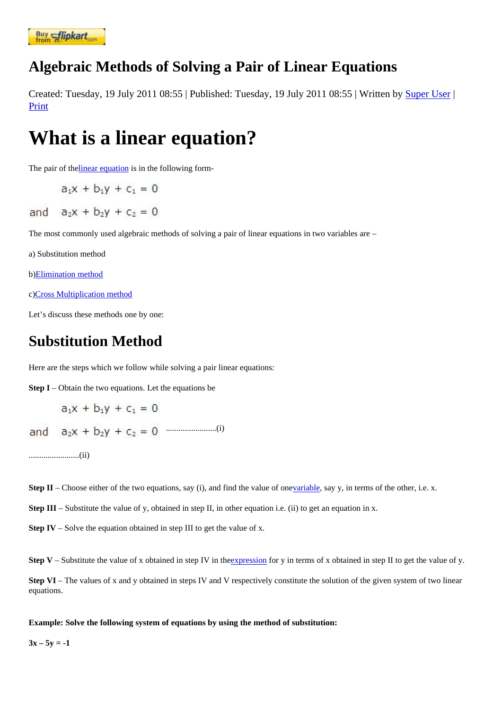### [Algebraic M](https://www.flipkart.com/spoken-english-3rd/p/itmezunpyjy5xcc7?pid=9789339221461&affid=kaminiraw)ethods of Solving a Pair of Linear Equations

Created: Tuesday, 19 July 2011 08:55 blished: Tuesday, 19 July 2011 08:56 ritten by Super Uset Print

# What is a linear equation?

The pair of thenear equations in the following form-

The most commonly used algebraic methods of solving a pair of linear equations in two variables are –

a) Substitution method

b)Elimination method

c)Cross Multiplication method

L[et's discuss these m](http://www.eagetutor.com/)ethods one by one:

## [Substitution Me](http://www.eagetutor.com/)thod

Here are the steps which we follow while solving a pair linear equations:

Step I – Obtain the two equations. Let the equations be

........................(i)

........................(ii)

Step II – Choose either of the two equations, say (i), and find the value **variation** say y, in terms of the other, i.e. x.

Step III – Substitute the value of y, obtained in step II, in other equation i.e. (ii) to get an equation in x.

Step IV – Solve the equation obtained in step III to get the value of x.

Step V – Substitute the value of x obtained in step IV in the expression for y in terms of x obtained in step II to get the value of y.

Step VI – The values of x and y obtained in steps IV and V respectively constitute the solution of the given system of two linear equations.

Example: Solve the following system of equations by using the method of substitution:

 $3x - 5y = -1$